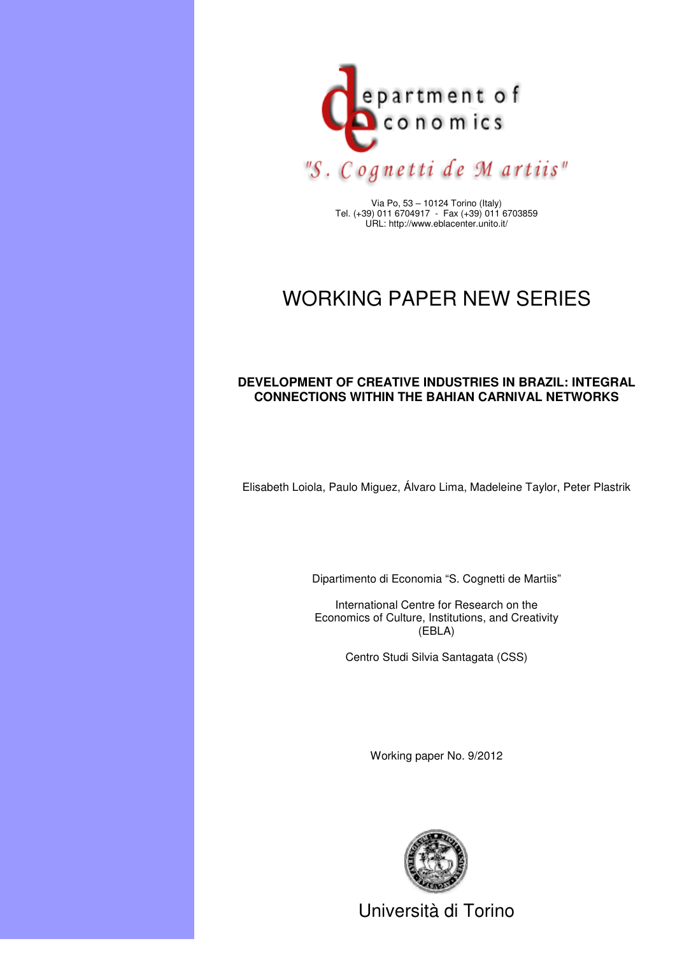

Via Po, 53 – 10124 Torino (Italy) Tel. (+39) 011 6704917 - Fax (+39) 011 6703859 URL: http://www.eblacenter.unito.it/

# WORKING PAPER NEW SERIES

# **DEVELOPMENT OF CREATIVE INDUSTRIES IN BRAZIL: INTEGRAL CONNECTIONS WITHIN THE BAHIAN CARNIVAL NETWORKS**

Elisabeth Loiola, Paulo Miguez, Álvaro Lima, Madeleine Taylor, Peter Plastrik

Dipartimento di Economia "S. Cognetti de Martiis"

International Centre for Research on the Economics of Culture, Institutions, and Creativity (EBLA)

Centro Studi Silvia Santagata (CSS)

Working paper No. 9/2012



Università di Torino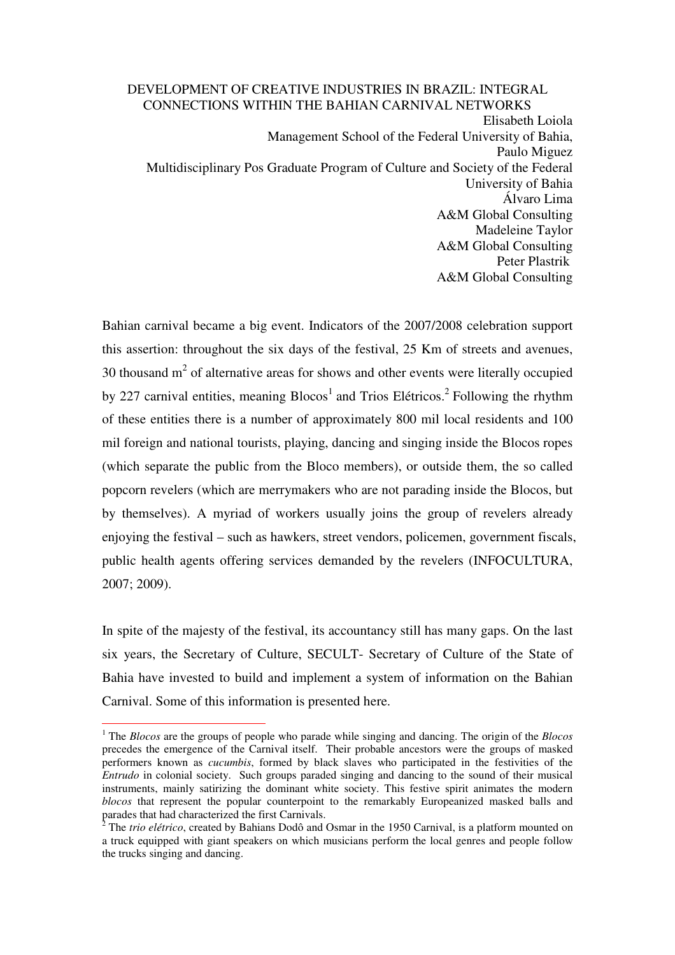### DEVELOPMENT OF CREATIVE INDUSTRIES IN BRAZIL: INTEGRAL CONNECTIONS WITHIN THE BAHIAN CARNIVAL NETWORKS

Elisabeth Loiola Management School of the Federal University of Bahia, Paulo Miguez Multidisciplinary Pos Graduate Program of Culture and Society of the Federal University of Bahia Álvaro Lima A&M Global Consulting Madeleine Taylor A&M Global Consulting Peter Plastrik A&M Global Consulting

Bahian carnival became a big event. Indicators of the 2007/2008 celebration support this assertion: throughout the six days of the festival, 25 Km of streets and avenues, 30 thousand  $m<sup>2</sup>$  of alternative areas for shows and other events were literally occupied by 227 carnival entities, meaning  $B$ locos<sup>1</sup> and Trios Elétricos.<sup>2</sup> Following the rhythm of these entities there is a number of approximately 800 mil local residents and 100 mil foreign and national tourists, playing, dancing and singing inside the Blocos ropes (which separate the public from the Bloco members), or outside them, the so called popcorn revelers (which are merrymakers who are not parading inside the Blocos, but by themselves). A myriad of workers usually joins the group of revelers already enjoying the festival – such as hawkers, street vendors, policemen, government fiscals, public health agents offering services demanded by the revelers (INFOCULTURA, 2007; 2009).

In spite of the majesty of the festival, its accountancy still has many gaps. On the last six years, the Secretary of Culture, SECULT- Secretary of Culture of the State of Bahia have invested to build and implement a system of information on the Bahian Carnival. Some of this information is presented here.

 $\overline{a}$ 

<sup>1</sup> The *Blocos* are the groups of people who parade while singing and dancing. The origin of the *Blocos* precedes the emergence of the Carnival itself. Their probable ancestors were the groups of masked performers known as *cucumbis*, formed by black slaves who participated in the festivities of the *Entrudo* in colonial society. Such groups paraded singing and dancing to the sound of their musical instruments, mainly satirizing the dominant white society. This festive spirit animates the modern *blocos* that represent the popular counterpoint to the remarkably Europeanized masked balls and parades that had characterized the first Carnivals.

 $\bar{2}$  The *trio elétrico*, created by Bahians Dodô and Osmar in the 1950 Carnival, is a platform mounted on a truck equipped with giant speakers on which musicians perform the local genres and people follow the trucks singing and dancing.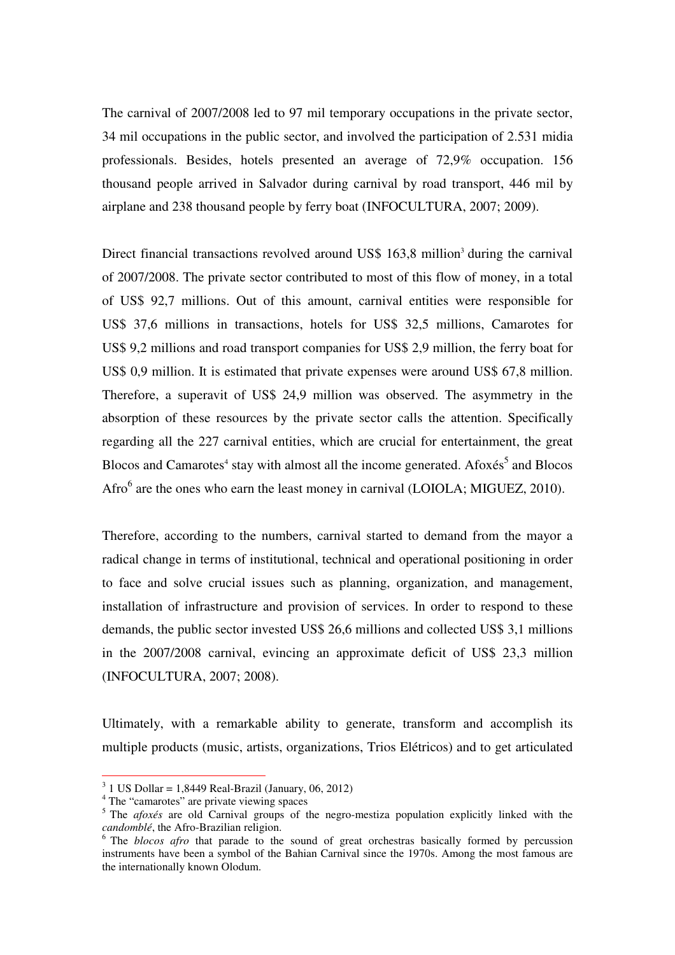The carnival of 2007/2008 led to 97 mil temporary occupations in the private sector, 34 mil occupations in the public sector, and involved the participation of 2.531 midia professionals. Besides, hotels presented an average of 72,9% occupation. 156 thousand people arrived in Salvador during carnival by road transport, 446 mil by airplane and 238 thousand people by ferry boat (INFOCULTURA, 2007; 2009).

Direct financial transactions revolved around US\$ 163,8 million<sup>3</sup> during the carnival of 2007/2008. The private sector contributed to most of this flow of money, in a total of US\$ 92,7 millions. Out of this amount, carnival entities were responsible for US\$ 37,6 millions in transactions, hotels for US\$ 32,5 millions, Camarotes for US\$ 9,2 millions and road transport companies for US\$ 2,9 million, the ferry boat for US\$ 0,9 million. It is estimated that private expenses were around US\$ 67,8 million. Therefore, a superavit of US\$ 24,9 million was observed. The asymmetry in the absorption of these resources by the private sector calls the attention. Specifically regarding all the 227 carnival entities, which are crucial for entertainment, the great Blocos and Camarotes<sup>4</sup> stay with almost all the income generated. Afoxés<sup>5</sup> and Blocos Afro<sup>6</sup> are the ones who earn the least money in carnival (LOIOLA; MIGUEZ, 2010).

Therefore, according to the numbers, carnival started to demand from the mayor a radical change in terms of institutional, technical and operational positioning in order to face and solve crucial issues such as planning, organization, and management, installation of infrastructure and provision of services. In order to respond to these demands, the public sector invested US\$ 26,6 millions and collected US\$ 3,1 millions in the 2007/2008 carnival, evincing an approximate deficit of US\$ 23,3 million (INFOCULTURA, 2007; 2008).

Ultimately, with a remarkable ability to generate, transform and accomplish its multiple products (music, artists, organizations, Trios Elétricos) and to get articulated

 $\overline{a}$ 

 $3$  1 US Dollar = 1,8449 Real-Brazil (January, 06, 2012)

<sup>&</sup>lt;sup>4</sup> The "camarotes" are private viewing spaces

<sup>&</sup>lt;sup>5</sup> The *afoxés* are old Carnival groups of the negro-mestiza population explicitly linked with the *candomblé*, the Afro-Brazilian religion.

<sup>&</sup>lt;sup>6</sup> The *blocos afro* that parade to the sound of great orchestras basically formed by percussion instruments have been a symbol of the Bahian Carnival since the 1970s. Among the most famous are the internationally known Olodum.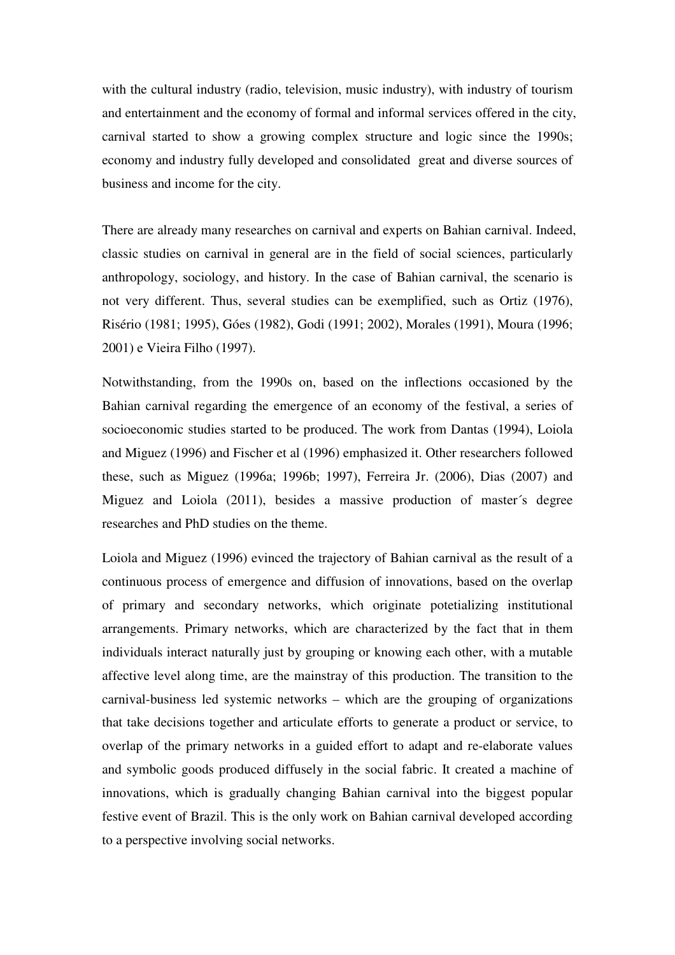with the cultural industry (radio, television, music industry), with industry of tourism and entertainment and the economy of formal and informal services offered in the city, carnival started to show a growing complex structure and logic since the 1990s; economy and industry fully developed and consolidated great and diverse sources of business and income for the city.

There are already many researches on carnival and experts on Bahian carnival. Indeed, classic studies on carnival in general are in the field of social sciences, particularly anthropology, sociology, and history. In the case of Bahian carnival, the scenario is not very different. Thus, several studies can be exemplified, such as Ortiz (1976), Risério (1981; 1995), Góes (1982), Godi (1991; 2002), Morales (1991), Moura (1996; 2001) e Vieira Filho (1997).

Notwithstanding, from the 1990s on, based on the inflections occasioned by the Bahian carnival regarding the emergence of an economy of the festival, a series of socioeconomic studies started to be produced. The work from Dantas (1994), Loiola and Miguez (1996) and Fischer et al (1996) emphasized it. Other researchers followed these, such as Miguez (1996a; 1996b; 1997), Ferreira Jr. (2006), Dias (2007) and Miguez and Loiola (2011), besides a massive production of master´s degree researches and PhD studies on the theme.

Loiola and Miguez (1996) evinced the trajectory of Bahian carnival as the result of a continuous process of emergence and diffusion of innovations, based on the overlap of primary and secondary networks, which originate potetializing institutional arrangements. Primary networks, which are characterized by the fact that in them individuals interact naturally just by grouping or knowing each other, with a mutable affective level along time, are the mainstray of this production. The transition to the carnival-business led systemic networks – which are the grouping of organizations that take decisions together and articulate efforts to generate a product or service, to overlap of the primary networks in a guided effort to adapt and re-elaborate values and symbolic goods produced diffusely in the social fabric. It created a machine of innovations, which is gradually changing Bahian carnival into the biggest popular festive event of Brazil. This is the only work on Bahian carnival developed according to a perspective involving social networks.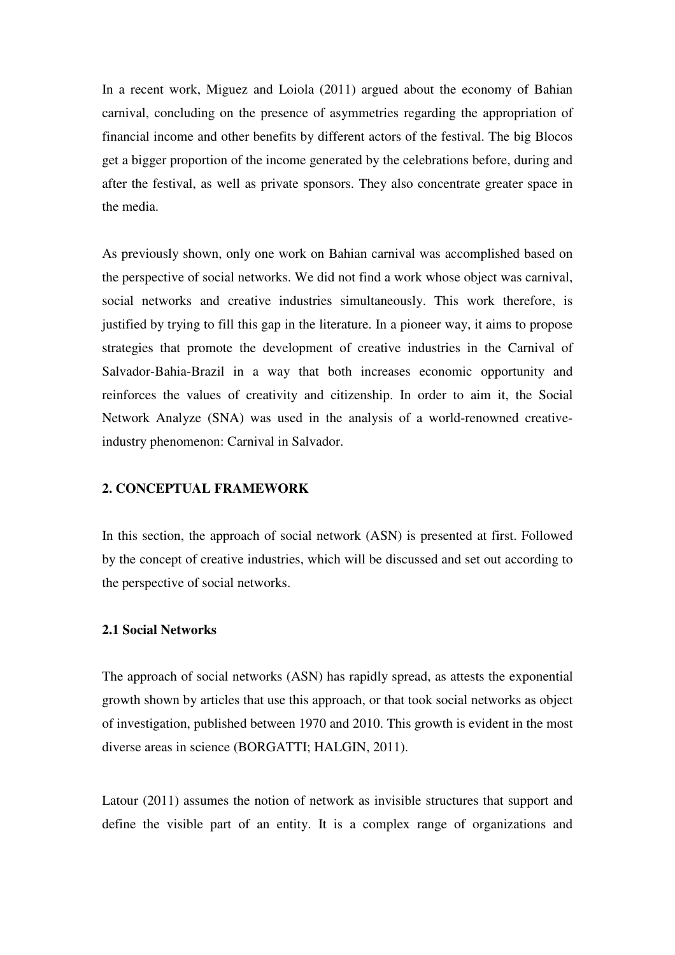In a recent work, Miguez and Loiola (2011) argued about the economy of Bahian carnival, concluding on the presence of asymmetries regarding the appropriation of financial income and other benefits by different actors of the festival. The big Blocos get a bigger proportion of the income generated by the celebrations before, during and after the festival, as well as private sponsors. They also concentrate greater space in the media.

As previously shown, only one work on Bahian carnival was accomplished based on the perspective of social networks. We did not find a work whose object was carnival, social networks and creative industries simultaneously. This work therefore, is justified by trying to fill this gap in the literature. In a pioneer way, it aims to propose strategies that promote the development of creative industries in the Carnival of Salvador-Bahia-Brazil in a way that both increases economic opportunity and reinforces the values of creativity and citizenship. In order to aim it, the Social Network Analyze (SNA) was used in the analysis of a world-renowned creativeindustry phenomenon: Carnival in Salvador.

### **2. CONCEPTUAL FRAMEWORK**

In this section, the approach of social network (ASN) is presented at first. Followed by the concept of creative industries, which will be discussed and set out according to the perspective of social networks.

#### **2.1 Social Networks**

The approach of social networks (ASN) has rapidly spread, as attests the exponential growth shown by articles that use this approach, or that took social networks as object of investigation, published between 1970 and 2010. This growth is evident in the most diverse areas in science (BORGATTI; HALGIN, 2011).

Latour (2011) assumes the notion of network as invisible structures that support and define the visible part of an entity. It is a complex range of organizations and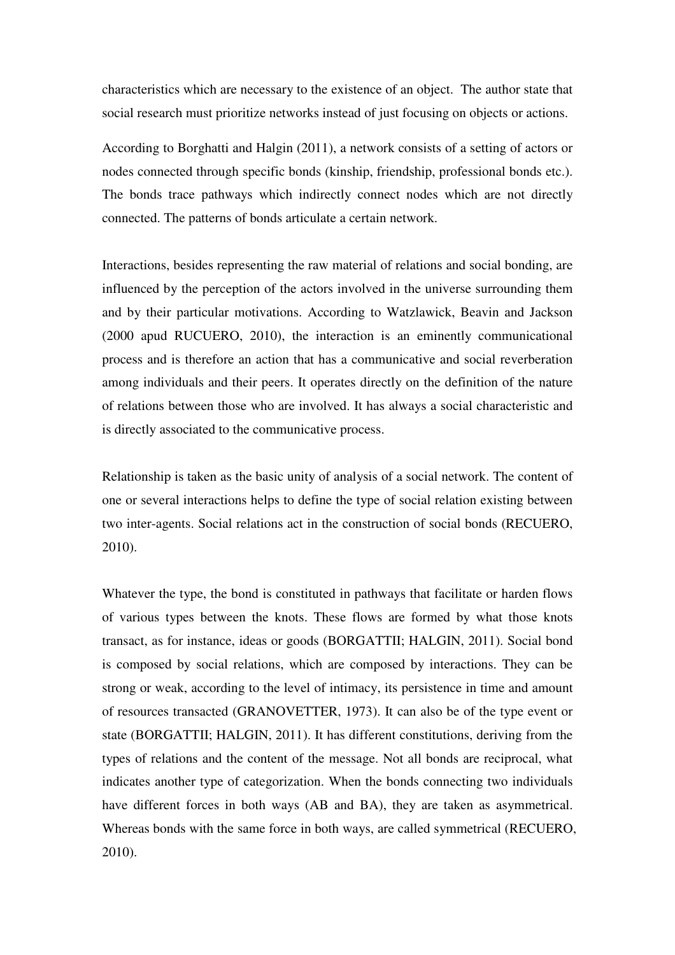characteristics which are necessary to the existence of an object. The author state that social research must prioritize networks instead of just focusing on objects or actions.

According to Borghatti and Halgin (2011), a network consists of a setting of actors or nodes connected through specific bonds (kinship, friendship, professional bonds etc.). The bonds trace pathways which indirectly connect nodes which are not directly connected. The patterns of bonds articulate a certain network.

Interactions, besides representing the raw material of relations and social bonding, are influenced by the perception of the actors involved in the universe surrounding them and by their particular motivations. According to Watzlawick, Beavin and Jackson (2000 apud RUCUERO, 2010), the interaction is an eminently communicational process and is therefore an action that has a communicative and social reverberation among individuals and their peers. It operates directly on the definition of the nature of relations between those who are involved. It has always a social characteristic and is directly associated to the communicative process.

Relationship is taken as the basic unity of analysis of a social network. The content of one or several interactions helps to define the type of social relation existing between two inter-agents. Social relations act in the construction of social bonds (RECUERO, 2010).

Whatever the type, the bond is constituted in pathways that facilitate or harden flows of various types between the knots. These flows are formed by what those knots transact, as for instance, ideas or goods (BORGATTII; HALGIN, 2011). Social bond is composed by social relations, which are composed by interactions. They can be strong or weak, according to the level of intimacy, its persistence in time and amount of resources transacted (GRANOVETTER, 1973). It can also be of the type event or state (BORGATTII; HALGIN, 2011). It has different constitutions, deriving from the types of relations and the content of the message. Not all bonds are reciprocal, what indicates another type of categorization. When the bonds connecting two individuals have different forces in both ways (AB and BA), they are taken as asymmetrical. Whereas bonds with the same force in both ways, are called symmetrical (RECUERO, 2010).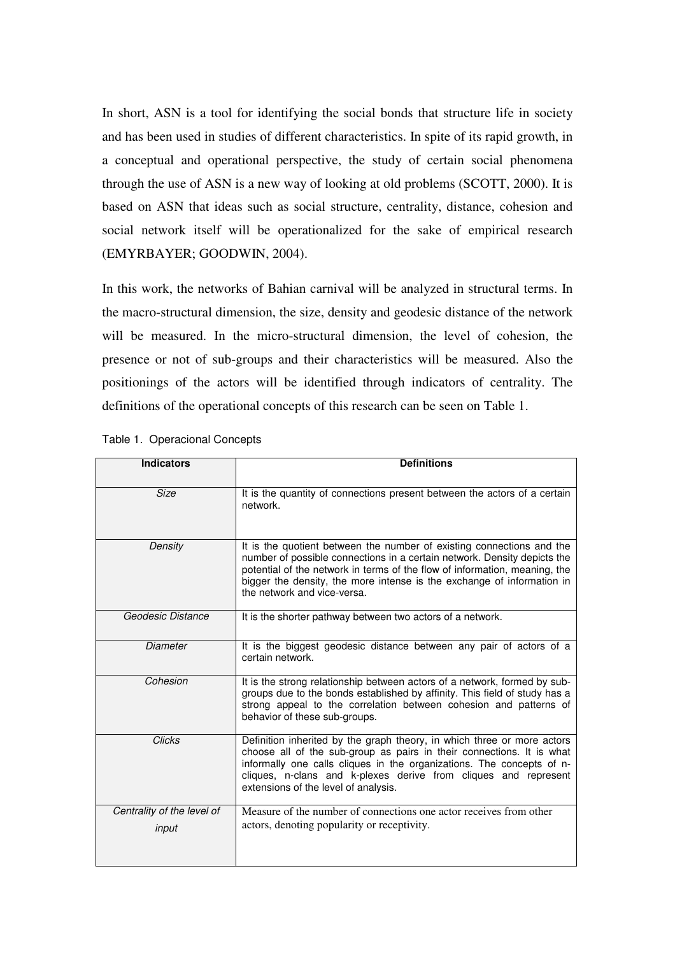In short, ASN is a tool for identifying the social bonds that structure life in society and has been used in studies of different characteristics. In spite of its rapid growth, in a conceptual and operational perspective, the study of certain social phenomena through the use of ASN is a new way of looking at old problems (SCOTT, 2000). It is based on ASN that ideas such as social structure, centrality, distance, cohesion and social network itself will be operationalized for the sake of empirical research (EMYRBAYER; GOODWIN, 2004).

In this work, the networks of Bahian carnival will be analyzed in structural terms. In the macro-structural dimension, the size, density and geodesic distance of the network will be measured. In the micro-structural dimension, the level of cohesion, the presence or not of sub-groups and their characteristics will be measured. Also the positionings of the actors will be identified through indicators of centrality. The definitions of the operational concepts of this research can be seen on Table 1.

| <b>Indicators</b>          | <b>Definitions</b>                                                                                                                                                                                                                                                                                                                       |
|----------------------------|------------------------------------------------------------------------------------------------------------------------------------------------------------------------------------------------------------------------------------------------------------------------------------------------------------------------------------------|
| <b>Size</b>                | It is the quantity of connections present between the actors of a certain<br>network.                                                                                                                                                                                                                                                    |
| Density                    | It is the quotient between the number of existing connections and the<br>number of possible connections in a certain network. Density depicts the<br>potential of the network in terms of the flow of information, meaning, the<br>bigger the density, the more intense is the exchange of information in<br>the network and vice-versa. |
| Geodesic Distance          | It is the shorter pathway between two actors of a network.                                                                                                                                                                                                                                                                               |
| <b>Diameter</b>            | It is the biggest geodesic distance between any pair of actors of a<br>certain network.                                                                                                                                                                                                                                                  |
| Cohesion                   | It is the strong relationship between actors of a network, formed by sub-<br>groups due to the bonds established by affinity. This field of study has a<br>strong appeal to the correlation between cohesion and patterns of<br>behavior of these sub-groups.                                                                            |
| <b>Clicks</b>              | Definition inherited by the graph theory, in which three or more actors<br>choose all of the sub-group as pairs in their connections. It is what<br>informally one calls cliques in the organizations. The concepts of n-<br>cliques, n-clans and k-plexes derive from cliques and represent<br>extensions of the level of analysis.     |
| Centrality of the level of | Measure of the number of connections one actor receives from other<br>actors, denoting popularity or receptivity.                                                                                                                                                                                                                        |
| input                      |                                                                                                                                                                                                                                                                                                                                          |

Table 1. Operacional Concepts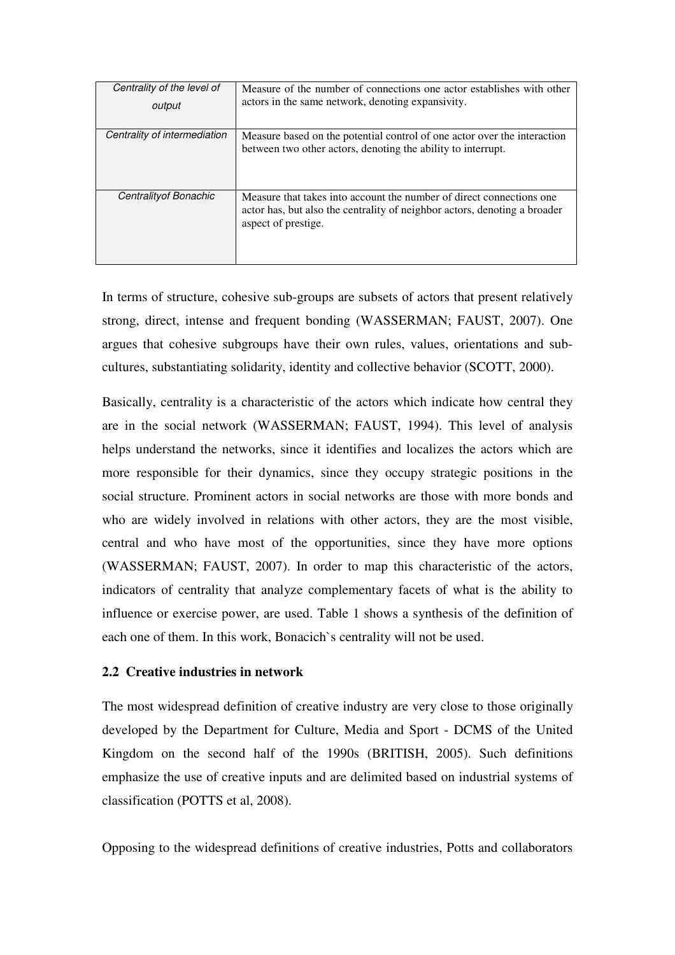| Centrality of the level of<br>output | Measure of the number of connections one actor establishes with other<br>actors in the same network, denoting expansivity.                                               |
|--------------------------------------|--------------------------------------------------------------------------------------------------------------------------------------------------------------------------|
| Centrality of intermediation         | Measure based on the potential control of one actor over the interaction<br>between two other actors, denoting the ability to interrupt.                                 |
| Centrality of Bonachic               | Measure that takes into account the number of direct connections one<br>actor has, but also the centrality of neighbor actors, denoting a broader<br>aspect of prestige. |

In terms of structure, cohesive sub-groups are subsets of actors that present relatively strong, direct, intense and frequent bonding (WASSERMAN; FAUST, 2007). One argues that cohesive subgroups have their own rules, values, orientations and subcultures, substantiating solidarity, identity and collective behavior (SCOTT, 2000).

Basically, centrality is a characteristic of the actors which indicate how central they are in the social network (WASSERMAN; FAUST, 1994). This level of analysis helps understand the networks, since it identifies and localizes the actors which are more responsible for their dynamics, since they occupy strategic positions in the social structure. Prominent actors in social networks are those with more bonds and who are widely involved in relations with other actors, they are the most visible, central and who have most of the opportunities, since they have more options (WASSERMAN; FAUST, 2007). In order to map this characteristic of the actors, indicators of centrality that analyze complementary facets of what is the ability to influence or exercise power, are used. Table 1 shows a synthesis of the definition of each one of them. In this work, Bonacich`s centrality will not be used.

# **2.2 Creative industries in network**

The most widespread definition of creative industry are very close to those originally developed by the Department for Culture, Media and Sport - DCMS of the United Kingdom on the second half of the 1990s (BRITISH, 2005). Such definitions emphasize the use of creative inputs and are delimited based on industrial systems of classification (POTTS et al, 2008).

Opposing to the widespread definitions of creative industries, Potts and collaborators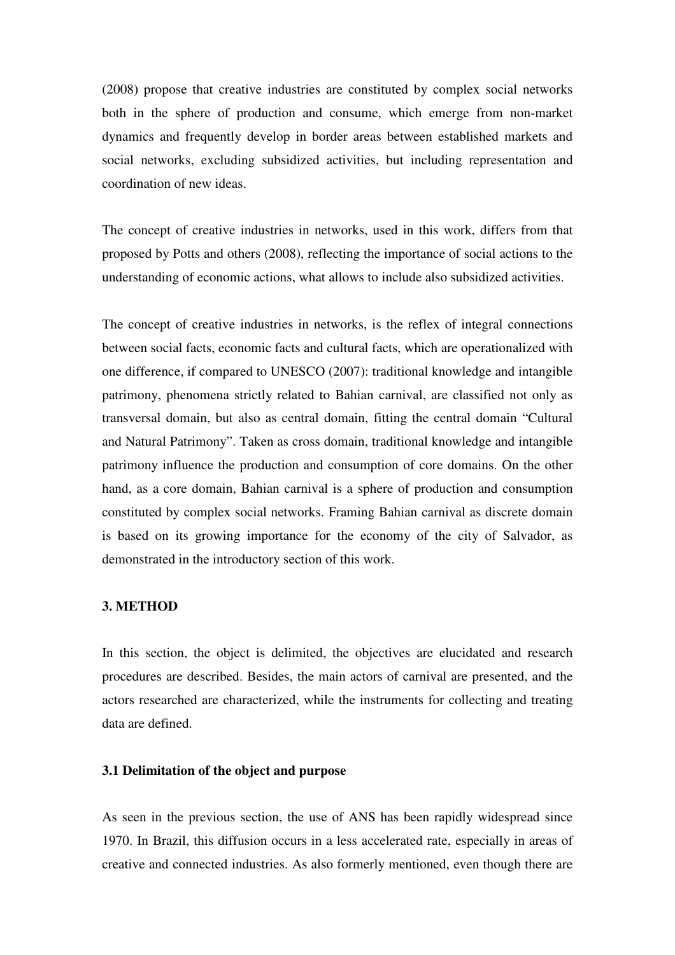(2008) propose that creative industries are constituted by complex social networks both in the sphere of production and consume, which emerge from non-market dynamics and frequently develop in border areas between established markets and social networks, excluding subsidized activities, but including representation and coordination of new ideas.

The concept of creative industries in networks, used in this work, differs from that proposed by Potts and others (2008), reflecting the importance of social actions to the understanding of economic actions, what allows to include also subsidized activities.

The concept of creative industries in networks, is the reflex of integral connections between social facts, economic facts and cultural facts, which are operationalized with one difference, if compared to UNESCO (2007): traditional knowledge and intangible patrimony, phenomena strictly related to Bahian carnival, are classified not only as transversal domain, but also as central domain, fitting the central domain "Cultural and Natural Patrimony". Taken as cross domain, traditional knowledge and intangible patrimony influence the production and consumption of core domains. On the other hand, as a core domain, Bahian carnival is a sphere of production and consumption constituted by complex social networks. Framing Bahian carnival as discrete domain is based on its growing importance for the economy of the city of Salvador, as demonstrated in the introductory section of this work.

### **3. METHOD**

In this section, the object is delimited, the objectives are elucidated and research procedures are described. Besides, the main actors of carnival are presented, and the actors researched are characterized, while the instruments for collecting and treating data are defined.

### **3.1 Delimitation of the object and purpose**

As seen in the previous section, the use of ANS has been rapidly widespread since 1970. In Brazil, this diffusion occurs in a less accelerated rate, especially in areas of creative and connected industries. As also formerly mentioned, even though there are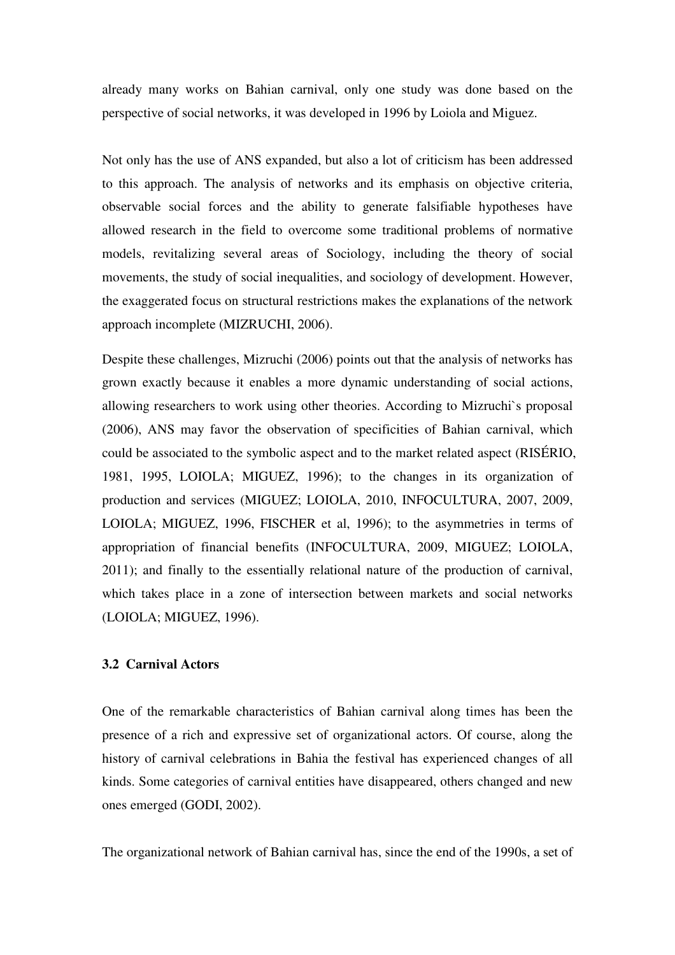already many works on Bahian carnival, only one study was done based on the perspective of social networks, it was developed in 1996 by Loiola and Miguez.

Not only has the use of ANS expanded, but also a lot of criticism has been addressed to this approach. The analysis of networks and its emphasis on objective criteria, observable social forces and the ability to generate falsifiable hypotheses have allowed research in the field to overcome some traditional problems of normative models, revitalizing several areas of Sociology, including the theory of social movements, the study of social inequalities, and sociology of development. However, the exaggerated focus on structural restrictions makes the explanations of the network approach incomplete (MIZRUCHI, 2006).

Despite these challenges, Mizruchi (2006) points out that the analysis of networks has grown exactly because it enables a more dynamic understanding of social actions, allowing researchers to work using other theories. According to Mizruchi`s proposal (2006), ANS may favor the observation of specificities of Bahian carnival, which could be associated to the symbolic aspect and to the market related aspect (RISÉRIO, 1981, 1995, LOIOLA; MIGUEZ, 1996); to the changes in its organization of production and services (MIGUEZ; LOIOLA, 2010, INFOCULTURA, 2007, 2009, LOIOLA; MIGUEZ, 1996, FISCHER et al, 1996); to the asymmetries in terms of appropriation of financial benefits (INFOCULTURA, 2009, MIGUEZ; LOIOLA, 2011); and finally to the essentially relational nature of the production of carnival, which takes place in a zone of intersection between markets and social networks (LOIOLA; MIGUEZ, 1996).

### **3.2 Carnival Actors**

One of the remarkable characteristics of Bahian carnival along times has been the presence of a rich and expressive set of organizational actors. Of course, along the history of carnival celebrations in Bahia the festival has experienced changes of all kinds. Some categories of carnival entities have disappeared, others changed and new ones emerged (GODI, 2002).

The organizational network of Bahian carnival has, since the end of the 1990s, a set of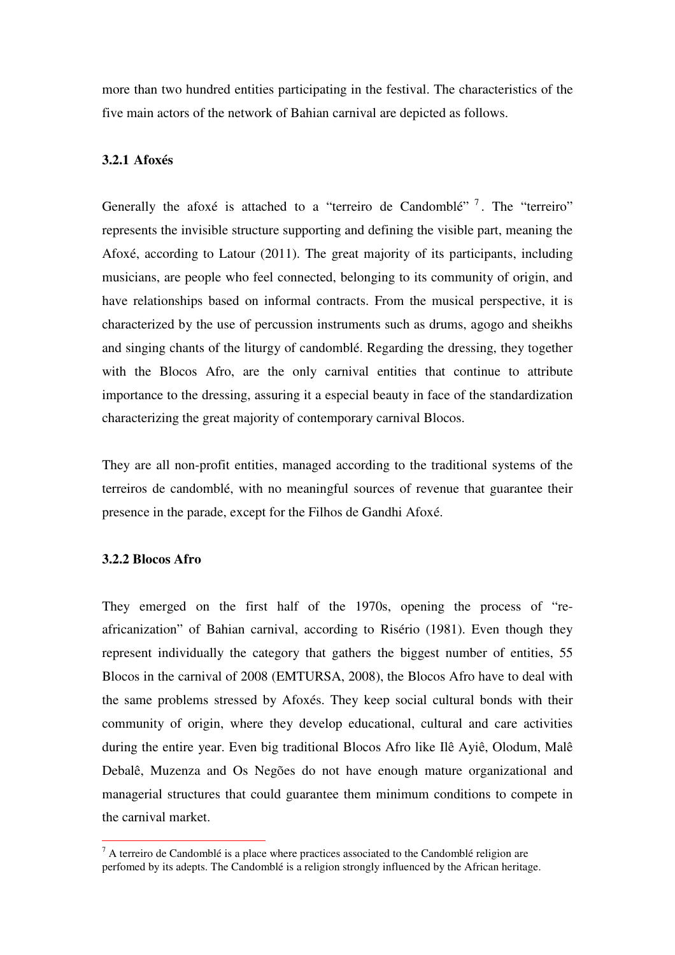more than two hundred entities participating in the festival. The characteristics of the five main actors of the network of Bahian carnival are depicted as follows.

# **3.2.1 Afoxés**

Generally the afoxé is attached to a "terreiro de Candomblé"  $^7$ . The "terreiro" represents the invisible structure supporting and defining the visible part, meaning the Afoxé, according to Latour (2011). The great majority of its participants, including musicians, are people who feel connected, belonging to its community of origin, and have relationships based on informal contracts. From the musical perspective, it is characterized by the use of percussion instruments such as drums, agogo and sheikhs and singing chants of the liturgy of candomblé. Regarding the dressing, they together with the Blocos Afro, are the only carnival entities that continue to attribute importance to the dressing, assuring it a especial beauty in face of the standardization characterizing the great majority of contemporary carnival Blocos.

They are all non-profit entities, managed according to the traditional systems of the terreiros de candomblé, with no meaningful sources of revenue that guarantee their presence in the parade, except for the Filhos de Gandhi Afoxé.

### **3.2.2 Blocos Afro**

 $\overline{a}$ 

They emerged on the first half of the 1970s, opening the process of "reafricanization" of Bahian carnival, according to Risério (1981). Even though they represent individually the category that gathers the biggest number of entities, 55 Blocos in the carnival of 2008 (EMTURSA, 2008), the Blocos Afro have to deal with the same problems stressed by Afoxés. They keep social cultural bonds with their community of origin, where they develop educational, cultural and care activities during the entire year. Even big traditional Blocos Afro like Ilê Ayiê, Olodum, Malê Debalê, Muzenza and Os Negões do not have enough mature organizational and managerial structures that could guarantee them minimum conditions to compete in the carnival market.

 $<sup>7</sup>$  A terreiro de Candomblé is a place where practices associated to the Candomblé religion are</sup> perfomed by its adepts. The Candomblé is a religion strongly influenced by the African heritage.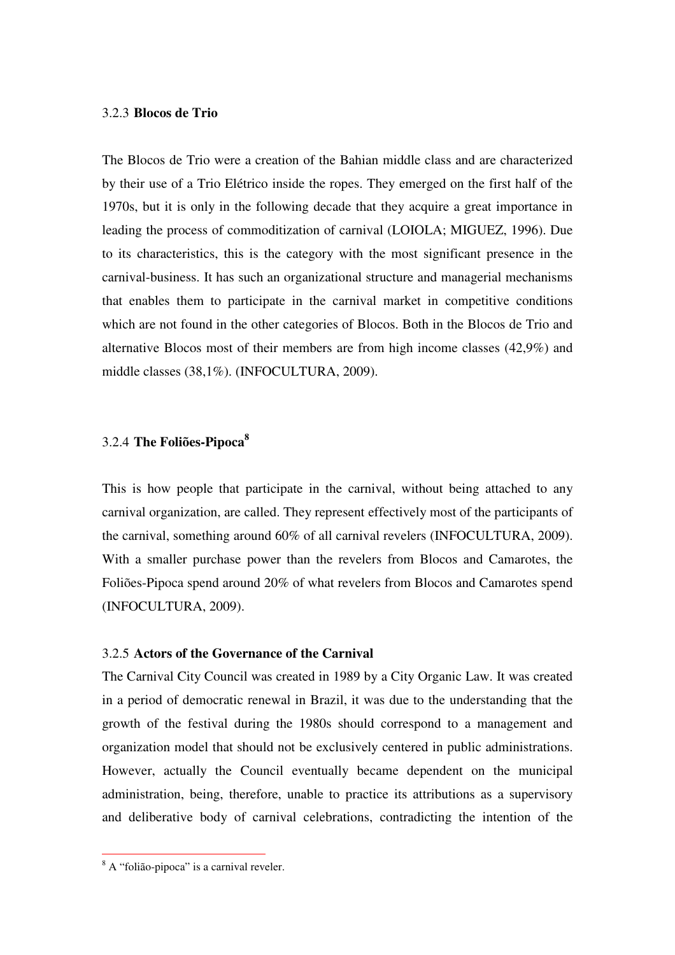### 3.2.3 **Blocos de Trio**

The Blocos de Trio were a creation of the Bahian middle class and are characterized by their use of a Trio Elétrico inside the ropes. They emerged on the first half of the 1970s, but it is only in the following decade that they acquire a great importance in leading the process of commoditization of carnival (LOIOLA; MIGUEZ, 1996). Due to its characteristics, this is the category with the most significant presence in the carnival-business. It has such an organizational structure and managerial mechanisms that enables them to participate in the carnival market in competitive conditions which are not found in the other categories of Blocos. Both in the Blocos de Trio and alternative Blocos most of their members are from high income classes (42,9%) and middle classes (38,1%). (INFOCULTURA, 2009).

# 3.2.4 **The Foliões-Pipoca<sup>8</sup>**

This is how people that participate in the carnival, without being attached to any carnival organization, are called. They represent effectively most of the participants of the carnival, something around 60% of all carnival revelers (INFOCULTURA, 2009). With a smaller purchase power than the revelers from Blocos and Camarotes, the Foliões-Pipoca spend around 20% of what revelers from Blocos and Camarotes spend (INFOCULTURA, 2009).

# 3.2.5 **Actors of the Governance of the Carnival**

The Carnival City Council was created in 1989 by a City Organic Law. It was created in a period of democratic renewal in Brazil, it was due to the understanding that the growth of the festival during the 1980s should correspond to a management and organization model that should not be exclusively centered in public administrations. However, actually the Council eventually became dependent on the municipal administration, being, therefore, unable to practice its attributions as a supervisory and deliberative body of carnival celebrations, contradicting the intention of the

<sup>&</sup>lt;sup>8</sup> A "folião-pipoca" is a carnival reveler.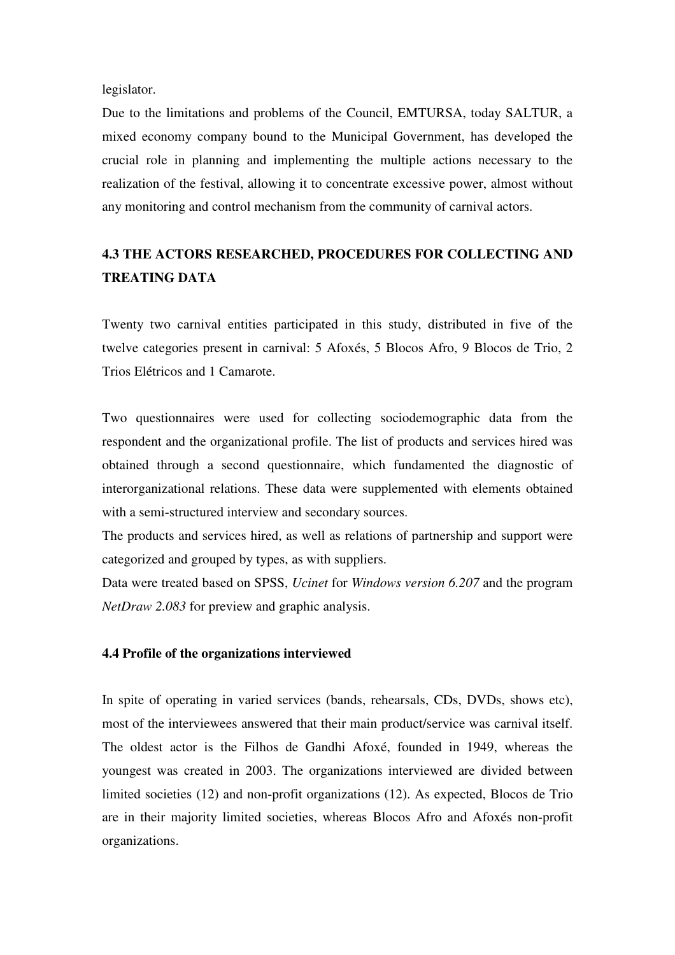legislator.

Due to the limitations and problems of the Council, EMTURSA, today SALTUR, a mixed economy company bound to the Municipal Government, has developed the crucial role in planning and implementing the multiple actions necessary to the realization of the festival, allowing it to concentrate excessive power, almost without any monitoring and control mechanism from the community of carnival actors.

# **4.3 THE ACTORS RESEARCHED, PROCEDURES FOR COLLECTING AND TREATING DATA**

Twenty two carnival entities participated in this study, distributed in five of the twelve categories present in carnival: 5 Afoxés, 5 Blocos Afro, 9 Blocos de Trio, 2 Trios Elétricos and 1 Camarote.

Two questionnaires were used for collecting sociodemographic data from the respondent and the organizational profile. The list of products and services hired was obtained through a second questionnaire, which fundamented the diagnostic of interorganizational relations. These data were supplemented with elements obtained with a semi-structured interview and secondary sources.

The products and services hired, as well as relations of partnership and support were categorized and grouped by types, as with suppliers.

Data were treated based on SPSS, *Ucinet* for *Windows version 6.207* and the program *NetDraw 2.083* for preview and graphic analysis.

### **4.4 Profile of the organizations interviewed**

In spite of operating in varied services (bands, rehearsals, CDs, DVDs, shows etc), most of the interviewees answered that their main product/service was carnival itself. The oldest actor is the Filhos de Gandhi Afoxé, founded in 1949, whereas the youngest was created in 2003. The organizations interviewed are divided between limited societies (12) and non-profit organizations (12). As expected, Blocos de Trio are in their majority limited societies, whereas Blocos Afro and Afoxés non-profit organizations.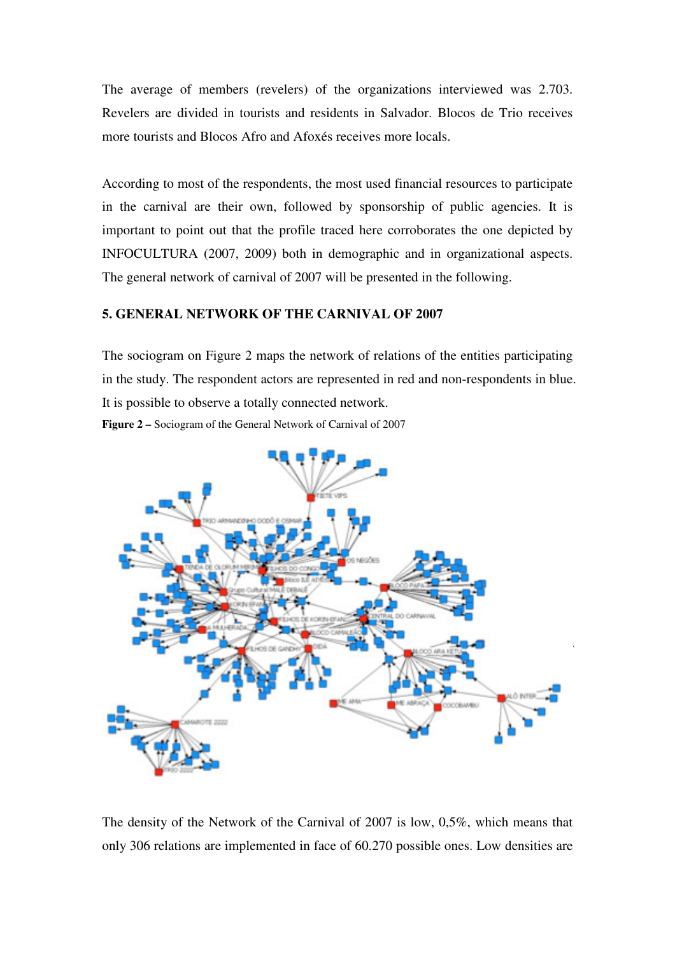The average of members (revelers) of the organizations interviewed was 2.703. Revelers are divided in tourists and residents in Salvador. Blocos de Trio receives more tourists and Blocos Afro and Afoxés receives more locals.

According to most of the respondents, the most used financial resources to participate in the carnival are their own, followed by sponsorship of public agencies. It is important to point out that the profile traced here corroborates the one depicted by INFOCULTURA (2007, 2009) both in demographic and in organizational aspects. The general network of carnival of 2007 will be presented in the following.

### **5. GENERAL NETWORK OF THE CARNIVAL OF 2007**

The sociogram on Figure 2 maps the network of relations of the entities participating in the study. The respondent actors are represented in red and non-respondents in blue. It is possible to observe a totally connected network. **Figure 2 –** Sociogram of the General Network of Carnival of 2007



The density of the Network of the Carnival of 2007 is low, 0,5%, which means that only 306 relations are implemented in face of 60.270 possible ones. Low densities are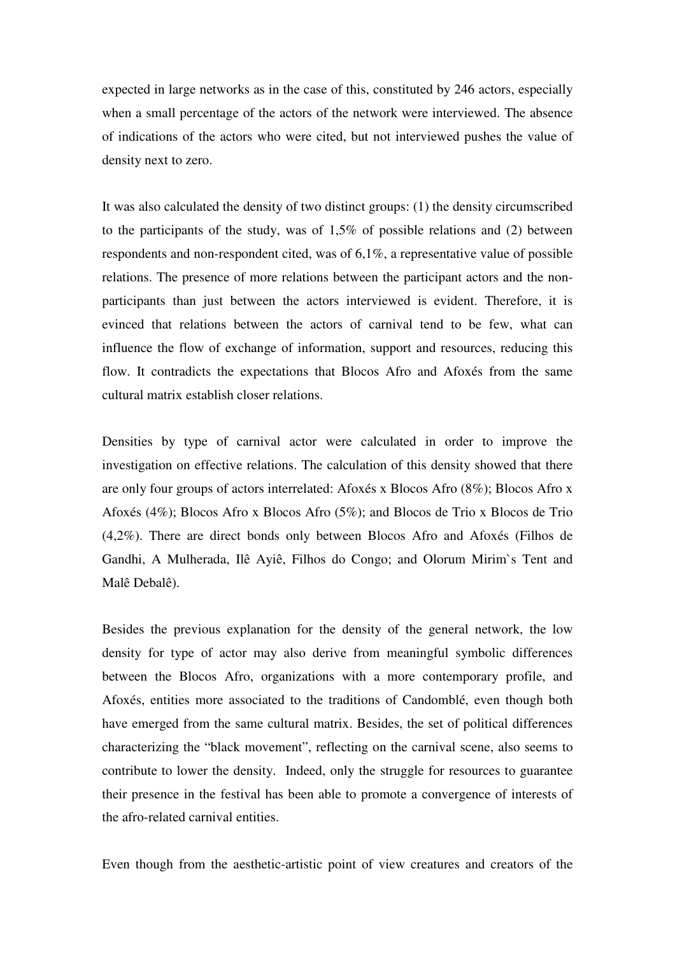expected in large networks as in the case of this, constituted by 246 actors, especially when a small percentage of the actors of the network were interviewed. The absence of indications of the actors who were cited, but not interviewed pushes the value of density next to zero.

It was also calculated the density of two distinct groups: (1) the density circumscribed to the participants of the study, was of 1,5% of possible relations and (2) between respondents and non-respondent cited, was of 6,1%, a representative value of possible relations. The presence of more relations between the participant actors and the nonparticipants than just between the actors interviewed is evident. Therefore, it is evinced that relations between the actors of carnival tend to be few, what can influence the flow of exchange of information, support and resources, reducing this flow. It contradicts the expectations that Blocos Afro and Afoxés from the same cultural matrix establish closer relations.

Densities by type of carnival actor were calculated in order to improve the investigation on effective relations. The calculation of this density showed that there are only four groups of actors interrelated: Afoxés x Blocos Afro (8%); Blocos Afro x Afoxés (4%); Blocos Afro x Blocos Afro (5%); and Blocos de Trio x Blocos de Trio (4,2%). There are direct bonds only between Blocos Afro and Afoxés (Filhos de Gandhi, A Mulherada, Ilê Ayiê, Filhos do Congo; and Olorum Mirim`s Tent and Malê Debalê).

Besides the previous explanation for the density of the general network, the low density for type of actor may also derive from meaningful symbolic differences between the Blocos Afro, organizations with a more contemporary profile, and Afoxés, entities more associated to the traditions of Candomblé, even though both have emerged from the same cultural matrix. Besides, the set of political differences characterizing the "black movement", reflecting on the carnival scene, also seems to contribute to lower the density. Indeed, only the struggle for resources to guarantee their presence in the festival has been able to promote a convergence of interests of the afro-related carnival entities.

Even though from the aesthetic-artistic point of view creatures and creators of the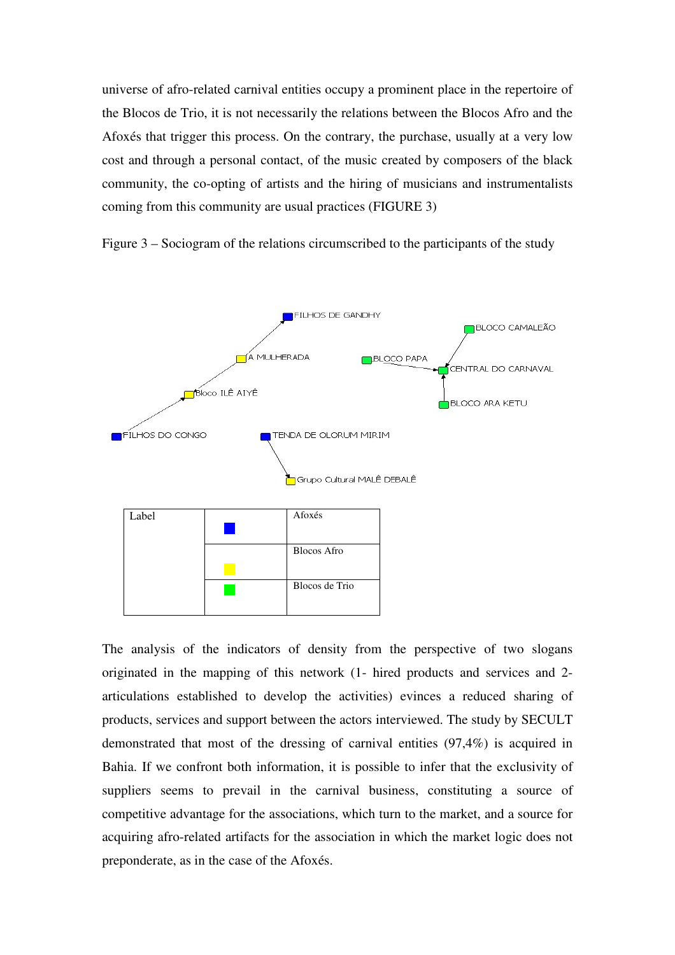universe of afro-related carnival entities occupy a prominent place in the repertoire of the Blocos de Trio, it is not necessarily the relations between the Blocos Afro and the Afoxés that trigger this process. On the contrary, the purchase, usually at a very low cost and through a personal contact, of the music created by composers of the black community, the co-opting of artists and the hiring of musicians and instrumentalists coming from this community are usual practices (FIGURE 3)

Figure 3 – Sociogram of the relations circumscribed to the participants of the study



The analysis of the indicators of density from the perspective of two slogans originated in the mapping of this network (1- hired products and services and 2 articulations established to develop the activities) evinces a reduced sharing of products, services and support between the actors interviewed. The study by SECULT demonstrated that most of the dressing of carnival entities (97,4%) is acquired in Bahia. If we confront both information, it is possible to infer that the exclusivity of suppliers seems to prevail in the carnival business, constituting a source of competitive advantage for the associations, which turn to the market, and a source for acquiring afro-related artifacts for the association in which the market logic does not preponderate, as in the case of the Afoxés.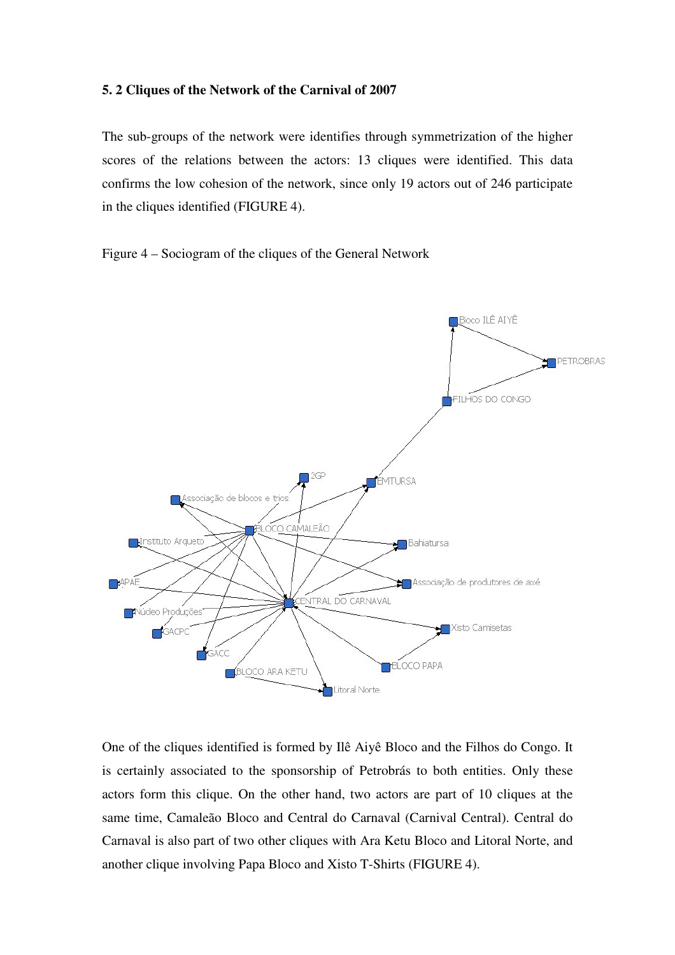### **5. 2 Cliques of the Network of the Carnival of 2007**

The sub-groups of the network were identifies through symmetrization of the higher scores of the relations between the actors: 13 cliques were identified. This data confirms the low cohesion of the network, since only 19 actors out of 246 participate in the cliques identified (FIGURE 4).

Figure 4 – Sociogram of the cliques of the General Network



One of the cliques identified is formed by Ilê Aiyê Bloco and the Filhos do Congo. It is certainly associated to the sponsorship of Petrobrás to both entities. Only these actors form this clique. On the other hand, two actors are part of 10 cliques at the same time, Camaleão Bloco and Central do Carnaval (Carnival Central). Central do Carnaval is also part of two other cliques with Ara Ketu Bloco and Litoral Norte, and another clique involving Papa Bloco and Xisto T-Shirts (FIGURE 4).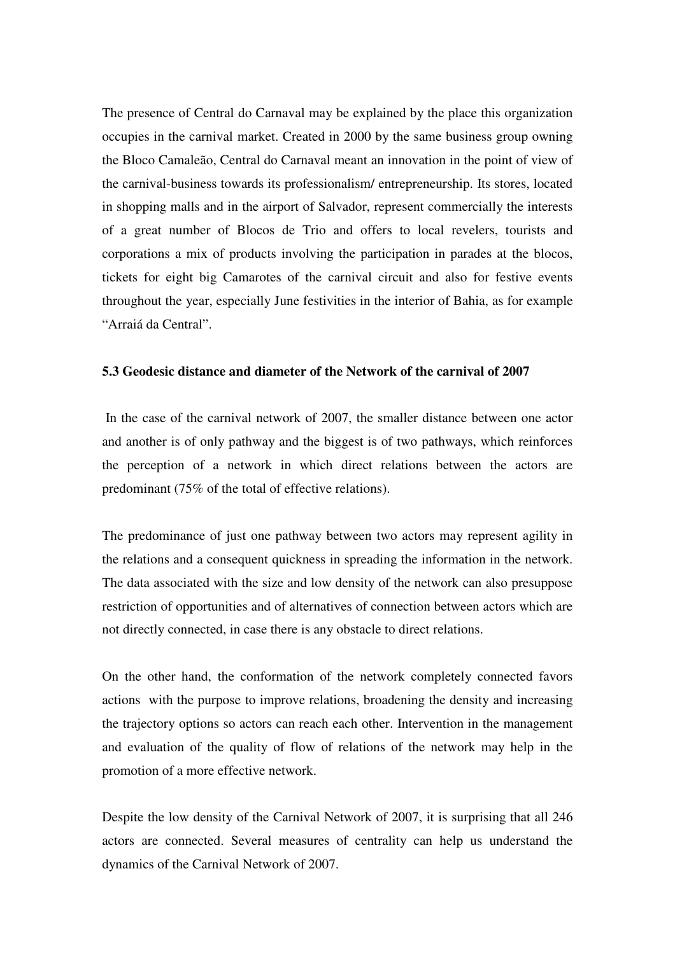The presence of Central do Carnaval may be explained by the place this organization occupies in the carnival market. Created in 2000 by the same business group owning the Bloco Camaleão, Central do Carnaval meant an innovation in the point of view of the carnival-business towards its professionalism/ entrepreneurship. Its stores, located in shopping malls and in the airport of Salvador, represent commercially the interests of a great number of Blocos de Trio and offers to local revelers, tourists and corporations a mix of products involving the participation in parades at the blocos, tickets for eight big Camarotes of the carnival circuit and also for festive events throughout the year, especially June festivities in the interior of Bahia, as for example "Arraiá da Central".

### **5.3 Geodesic distance and diameter of the Network of the carnival of 2007**

 In the case of the carnival network of 2007, the smaller distance between one actor and another is of only pathway and the biggest is of two pathways, which reinforces the perception of a network in which direct relations between the actors are predominant (75% of the total of effective relations).

The predominance of just one pathway between two actors may represent agility in the relations and a consequent quickness in spreading the information in the network. The data associated with the size and low density of the network can also presuppose restriction of opportunities and of alternatives of connection between actors which are not directly connected, in case there is any obstacle to direct relations.

On the other hand, the conformation of the network completely connected favors actions with the purpose to improve relations, broadening the density and increasing the trajectory options so actors can reach each other. Intervention in the management and evaluation of the quality of flow of relations of the network may help in the promotion of a more effective network.

Despite the low density of the Carnival Network of 2007, it is surprising that all 246 actors are connected. Several measures of centrality can help us understand the dynamics of the Carnival Network of 2007.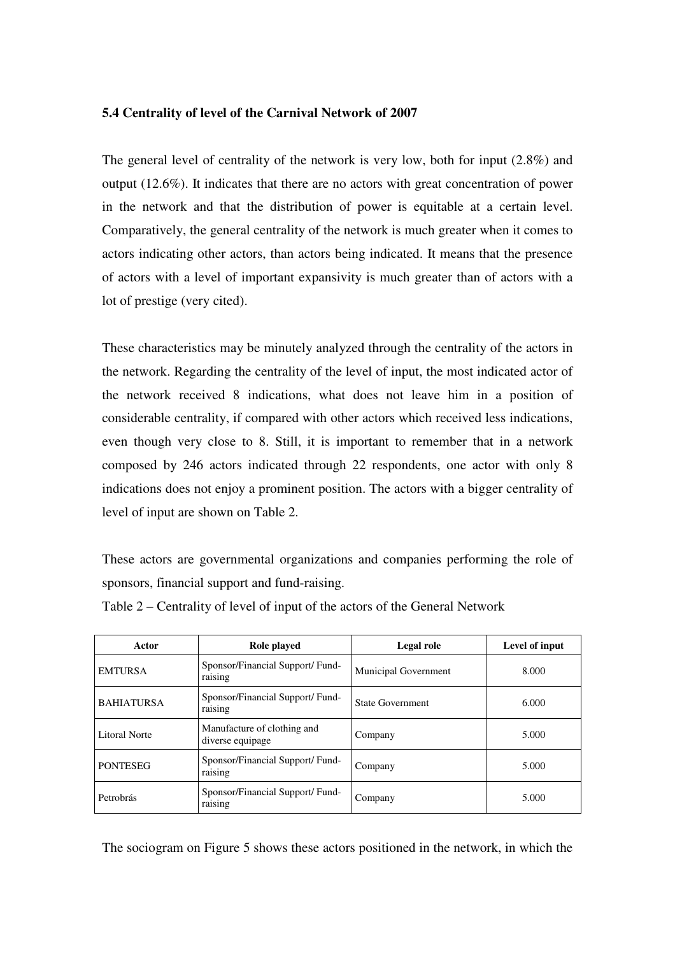### **5.4 Centrality of level of the Carnival Network of 2007**

The general level of centrality of the network is very low, both for input (2.8%) and output (12.6%). It indicates that there are no actors with great concentration of power in the network and that the distribution of power is equitable at a certain level. Comparatively, the general centrality of the network is much greater when it comes to actors indicating other actors, than actors being indicated. It means that the presence of actors with a level of important expansivity is much greater than of actors with a lot of prestige (very cited).

These characteristics may be minutely analyzed through the centrality of the actors in the network. Regarding the centrality of the level of input, the most indicated actor of the network received 8 indications, what does not leave him in a position of considerable centrality, if compared with other actors which received less indications, even though very close to 8. Still, it is important to remember that in a network composed by 246 actors indicated through 22 respondents, one actor with only 8 indications does not enjoy a prominent position. The actors with a bigger centrality of level of input are shown on Table 2.

These actors are governmental organizations and companies performing the role of sponsors, financial support and fund-raising.

| Actor                | Role played                                     | Legal role                  | Level of input |
|----------------------|-------------------------------------------------|-----------------------------|----------------|
| <b>EMTURSA</b>       | Sponsor/Financial Support/Fund-<br>raising      | <b>Municipal Government</b> | 8.000          |
| <b>BAHIATURSA</b>    | Sponsor/Financial Support/Fund-<br>raising      | <b>State Government</b>     | 6.000          |
| <b>Litoral Norte</b> | Manufacture of clothing and<br>diverse equipage | Company                     | 5.000          |
| <b>PONTESEG</b>      | Sponsor/Financial Support/ Fund-<br>raising     | Company                     | 5.000          |
| Petrobrás            | Sponsor/Financial Support/Fund-<br>raising      | Company                     | 5.000          |

Table 2 – Centrality of level of input of the actors of the General Network

The sociogram on Figure 5 shows these actors positioned in the network, in which the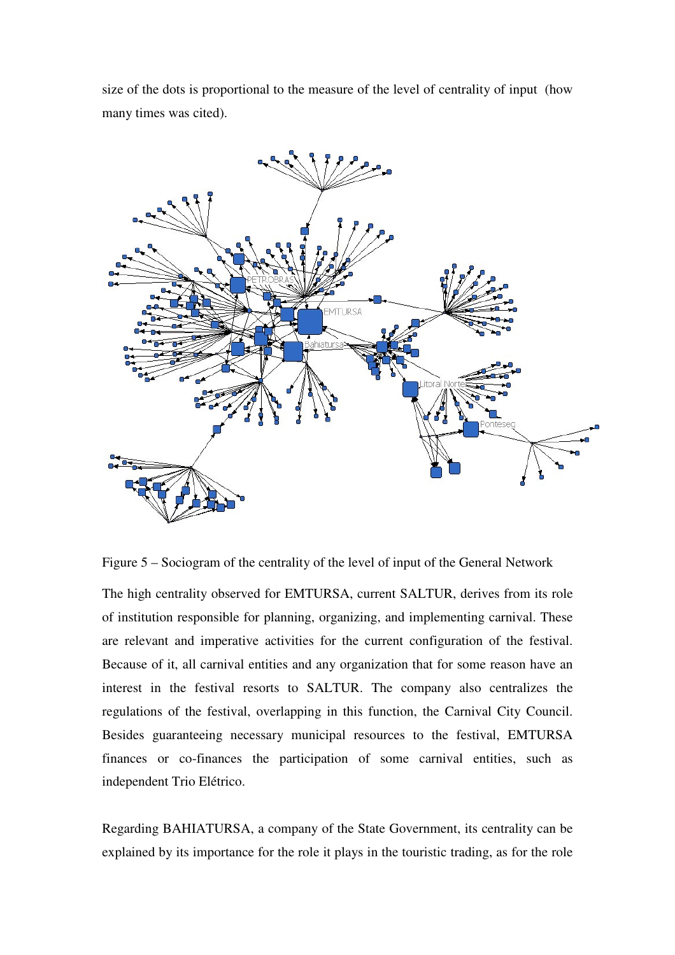size of the dots is proportional to the measure of the level of centrality of input (how many times was cited).



Figure 5 – Sociogram of the centrality of the level of input of the General Network

The high centrality observed for EMTURSA, current SALTUR, derives from its role of institution responsible for planning, organizing, and implementing carnival. These are relevant and imperative activities for the current configuration of the festival. Because of it, all carnival entities and any organization that for some reason have an interest in the festival resorts to SALTUR. The company also centralizes the regulations of the festival, overlapping in this function, the Carnival City Council. Besides guaranteeing necessary municipal resources to the festival, EMTURSA finances or co-finances the participation of some carnival entities, such as independent Trio Elétrico.

Regarding BAHIATURSA, a company of the State Government, its centrality can be explained by its importance for the role it plays in the touristic trading, as for the role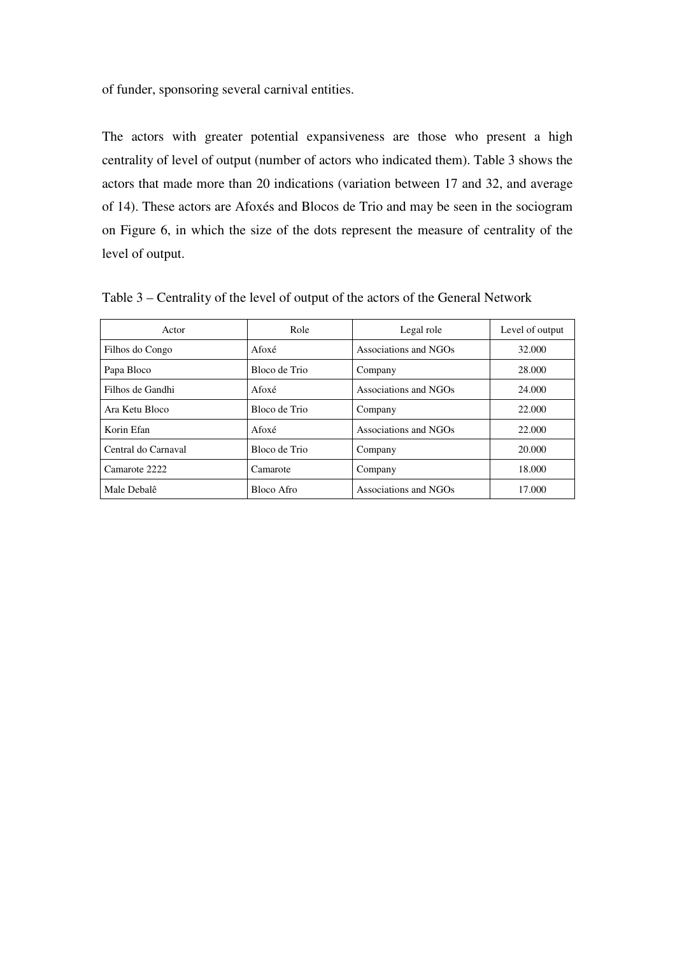of funder, sponsoring several carnival entities.

The actors with greater potential expansiveness are those who present a high centrality of level of output (number of actors who indicated them). Table 3 shows the actors that made more than 20 indications (variation between 17 and 32, and average of 14). These actors are Afoxés and Blocos de Trio and may be seen in the sociogram on Figure 6, in which the size of the dots represent the measure of centrality of the level of output.

| Actor               | Role          | Legal role            | Level of output |
|---------------------|---------------|-----------------------|-----------------|
| Filhos do Congo     | Afoxé         | Associations and NGOs | 32.000          |
| Papa Bloco          | Bloco de Trio | Company               | 28,000          |
| Filhos de Gandhi    | Afoxé         | Associations and NGOs | 24,000          |
| Ara Ketu Bloco      | Bloco de Trio | Company               | 22,000          |
| Korin Efan          | Afoxé         | Associations and NGOs | 22.000          |
| Central do Carnaval | Bloco de Trio | Company               | 20,000          |
| Camarote 2222       | Camarote      | Company               | 18.000          |
| Male Debalê         | Bloco Afro    | Associations and NGOs | 17.000          |

Table 3 – Centrality of the level of output of the actors of the General Network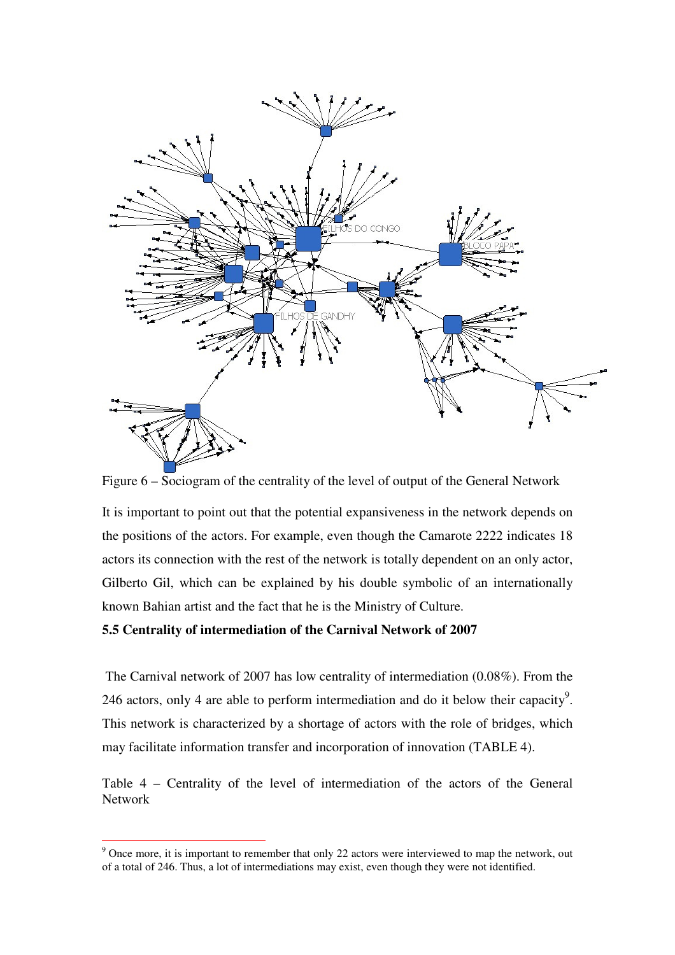

Figure 6 – Sociogram of the centrality of the level of output of the General Network

It is important to point out that the potential expansiveness in the network depends on the positions of the actors. For example, even though the Camarote 2222 indicates 18 actors its connection with the rest of the network is totally dependent on an only actor, Gilberto Gil, which can be explained by his double symbolic of an internationally known Bahian artist and the fact that he is the Ministry of Culture.

### **5.5 Centrality of intermediation of the Carnival Network of 2007**

 $\overline{a}$ 

 The Carnival network of 2007 has low centrality of intermediation (0.08%). From the 246 actors, only 4 are able to perform intermediation and do it below their capacity<sup>9</sup>. This network is characterized by a shortage of actors with the role of bridges, which may facilitate information transfer and incorporation of innovation (TABLE 4).

Table 4 – Centrality of the level of intermediation of the actors of the General Network

 $9^9$  Once more, it is important to remember that only 22 actors were interviewed to map the network, out of a total of 246. Thus, a lot of intermediations may exist, even though they were not identified.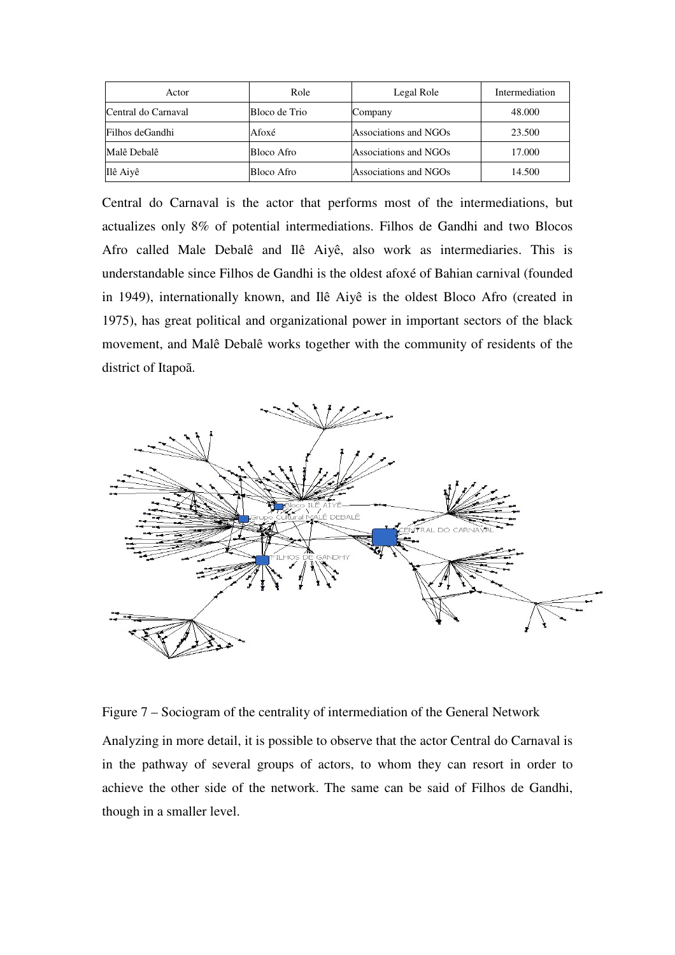| Actor               | Role          | Legal Role            | Intermediation |
|---------------------|---------------|-----------------------|----------------|
| Central do Carnaval | Bloco de Trio | Company               | 48.000         |
| Filhos deGandhi     | Afoxé         | Associations and NGOs | 23.500         |
| Malê Debalê         | Bloco Afro    | Associations and NGOs | 17.000         |
| Ilê Aiyê            | Bloco Afro    | Associations and NGOs | 14.500         |

Central do Carnaval is the actor that performs most of the intermediations, but actualizes only 8% of potential intermediations. Filhos de Gandhi and two Blocos Afro called Male Debalê and Ilê Aiyê, also work as intermediaries. This is understandable since Filhos de Gandhi is the oldest afoxé of Bahian carnival (founded in 1949), internationally known, and Ilê Aiyê is the oldest Bloco Afro (created in 1975), has great political and organizational power in important sectors of the black movement, and Malê Debalê works together with the community of residents of the district of Itapoã.



Figure 7 – Sociogram of the centrality of intermediation of the General Network

Analyzing in more detail, it is possible to observe that the actor Central do Carnaval is in the pathway of several groups of actors, to whom they can resort in order to achieve the other side of the network. The same can be said of Filhos de Gandhi, though in a smaller level.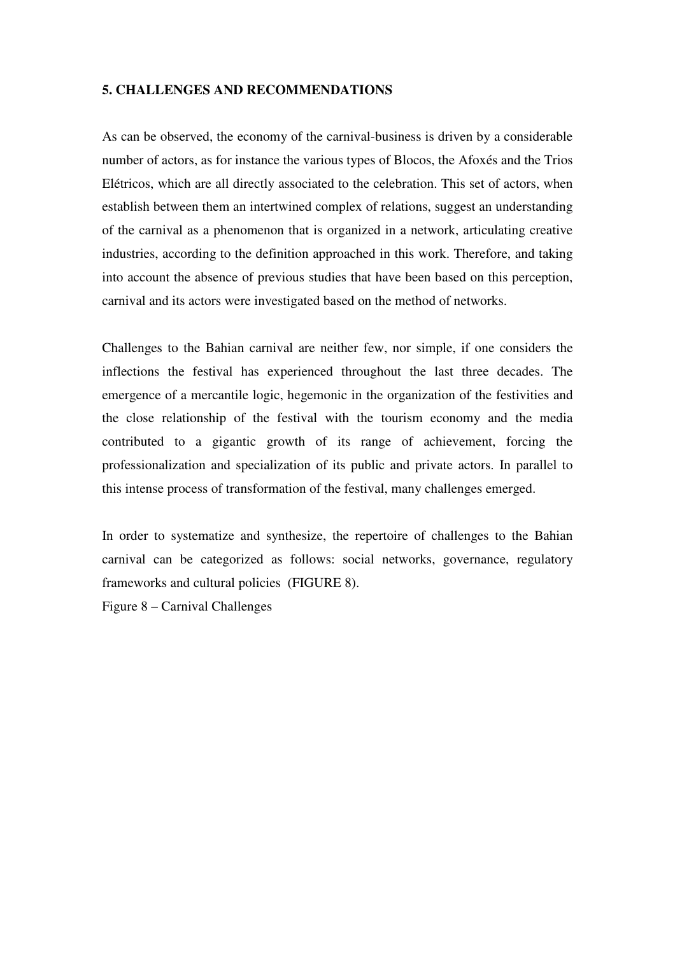### **5. CHALLENGES AND RECOMMENDATIONS**

As can be observed, the economy of the carnival-business is driven by a considerable number of actors, as for instance the various types of Blocos, the Afoxés and the Trios Elétricos, which are all directly associated to the celebration. This set of actors, when establish between them an intertwined complex of relations, suggest an understanding of the carnival as a phenomenon that is organized in a network, articulating creative industries, according to the definition approached in this work. Therefore, and taking into account the absence of previous studies that have been based on this perception, carnival and its actors were investigated based on the method of networks.

Challenges to the Bahian carnival are neither few, nor simple, if one considers the inflections the festival has experienced throughout the last three decades. The emergence of a mercantile logic, hegemonic in the organization of the festivities and the close relationship of the festival with the tourism economy and the media contributed to a gigantic growth of its range of achievement, forcing the professionalization and specialization of its public and private actors. In parallel to this intense process of transformation of the festival, many challenges emerged.

In order to systematize and synthesize, the repertoire of challenges to the Bahian carnival can be categorized as follows: social networks, governance, regulatory frameworks and cultural policies (FIGURE 8).

Figure 8 – Carnival Challenges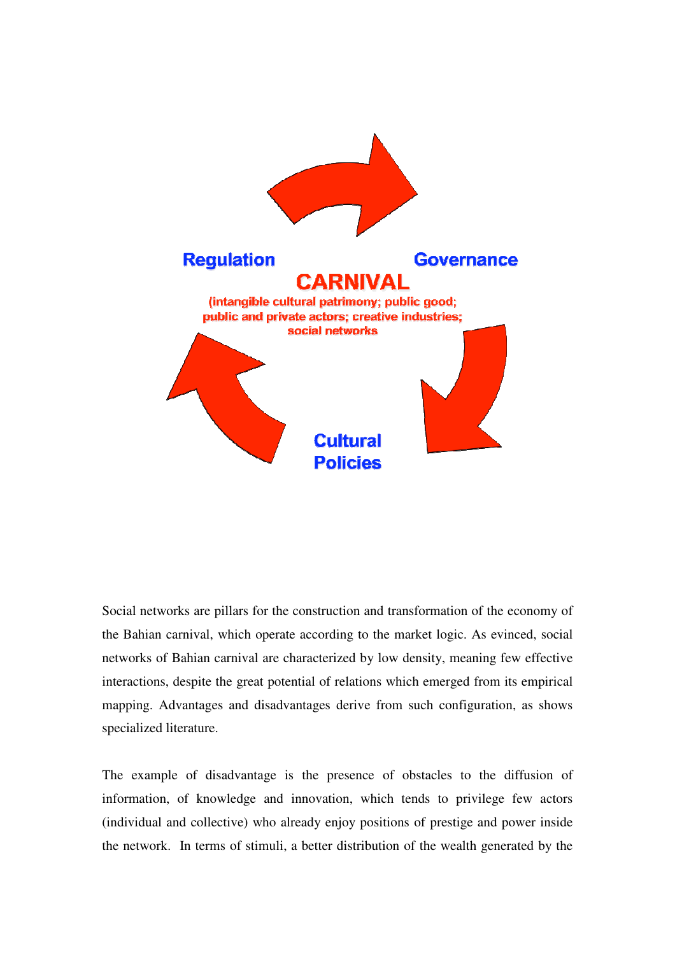

Social networks are pillars for the construction and transformation of the economy of the Bahian carnival, which operate according to the market logic. As evinced, social networks of Bahian carnival are characterized by low density, meaning few effective interactions, despite the great potential of relations which emerged from its empirical mapping. Advantages and disadvantages derive from such configuration, as shows specialized literature.

The example of disadvantage is the presence of obstacles to the diffusion of information, of knowledge and innovation, which tends to privilege few actors (individual and collective) who already enjoy positions of prestige and power inside the network. In terms of stimuli, a better distribution of the wealth generated by the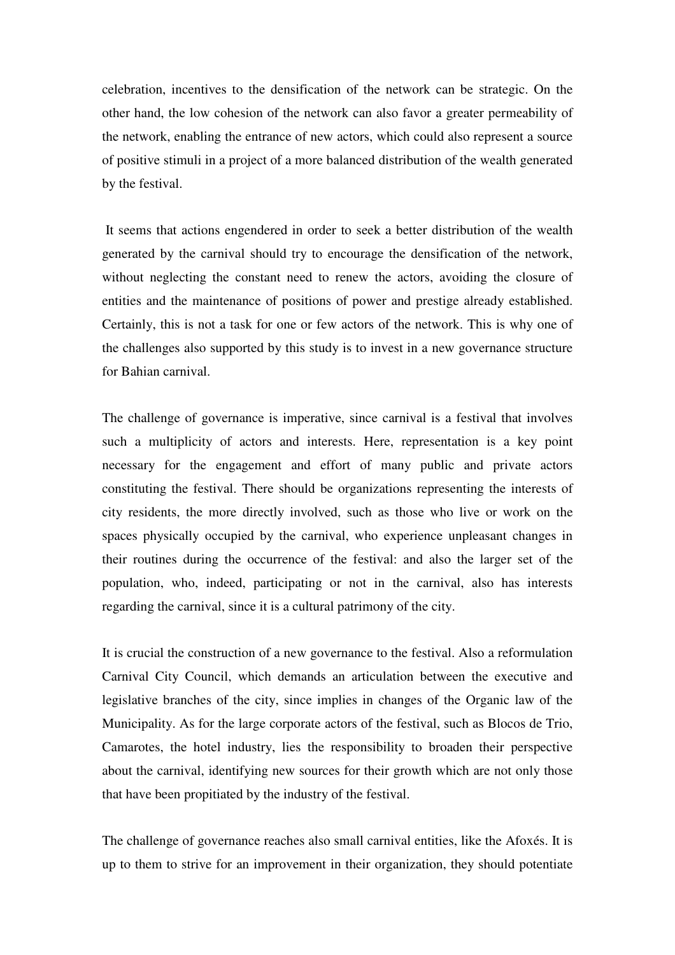celebration, incentives to the densification of the network can be strategic. On the other hand, the low cohesion of the network can also favor a greater permeability of the network, enabling the entrance of new actors, which could also represent a source of positive stimuli in a project of a more balanced distribution of the wealth generated by the festival.

 It seems that actions engendered in order to seek a better distribution of the wealth generated by the carnival should try to encourage the densification of the network, without neglecting the constant need to renew the actors, avoiding the closure of entities and the maintenance of positions of power and prestige already established. Certainly, this is not a task for one or few actors of the network. This is why one of the challenges also supported by this study is to invest in a new governance structure for Bahian carnival.

The challenge of governance is imperative, since carnival is a festival that involves such a multiplicity of actors and interests. Here, representation is a key point necessary for the engagement and effort of many public and private actors constituting the festival. There should be organizations representing the interests of city residents, the more directly involved, such as those who live or work on the spaces physically occupied by the carnival, who experience unpleasant changes in their routines during the occurrence of the festival: and also the larger set of the population, who, indeed, participating or not in the carnival, also has interests regarding the carnival, since it is a cultural patrimony of the city.

It is crucial the construction of a new governance to the festival. Also a reformulation Carnival City Council, which demands an articulation between the executive and legislative branches of the city, since implies in changes of the Organic law of the Municipality. As for the large corporate actors of the festival, such as Blocos de Trio, Camarotes, the hotel industry, lies the responsibility to broaden their perspective about the carnival, identifying new sources for their growth which are not only those that have been propitiated by the industry of the festival.

The challenge of governance reaches also small carnival entities, like the Afoxés. It is up to them to strive for an improvement in their organization, they should potentiate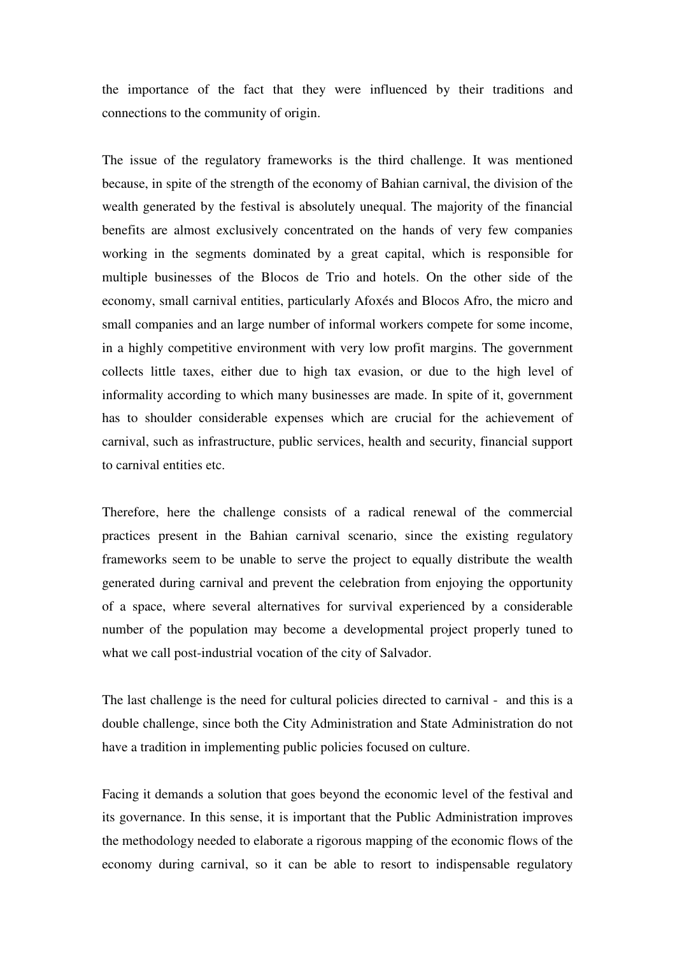the importance of the fact that they were influenced by their traditions and connections to the community of origin.

The issue of the regulatory frameworks is the third challenge. It was mentioned because, in spite of the strength of the economy of Bahian carnival, the division of the wealth generated by the festival is absolutely unequal. The majority of the financial benefits are almost exclusively concentrated on the hands of very few companies working in the segments dominated by a great capital, which is responsible for multiple businesses of the Blocos de Trio and hotels. On the other side of the economy, small carnival entities, particularly Afoxés and Blocos Afro, the micro and small companies and an large number of informal workers compete for some income, in a highly competitive environment with very low profit margins. The government collects little taxes, either due to high tax evasion, or due to the high level of informality according to which many businesses are made. In spite of it, government has to shoulder considerable expenses which are crucial for the achievement of carnival, such as infrastructure, public services, health and security, financial support to carnival entities etc.

Therefore, here the challenge consists of a radical renewal of the commercial practices present in the Bahian carnival scenario, since the existing regulatory frameworks seem to be unable to serve the project to equally distribute the wealth generated during carnival and prevent the celebration from enjoying the opportunity of a space, where several alternatives for survival experienced by a considerable number of the population may become a developmental project properly tuned to what we call post-industrial vocation of the city of Salvador.

The last challenge is the need for cultural policies directed to carnival - and this is a double challenge, since both the City Administration and State Administration do not have a tradition in implementing public policies focused on culture.

Facing it demands a solution that goes beyond the economic level of the festival and its governance. In this sense, it is important that the Public Administration improves the methodology needed to elaborate a rigorous mapping of the economic flows of the economy during carnival, so it can be able to resort to indispensable regulatory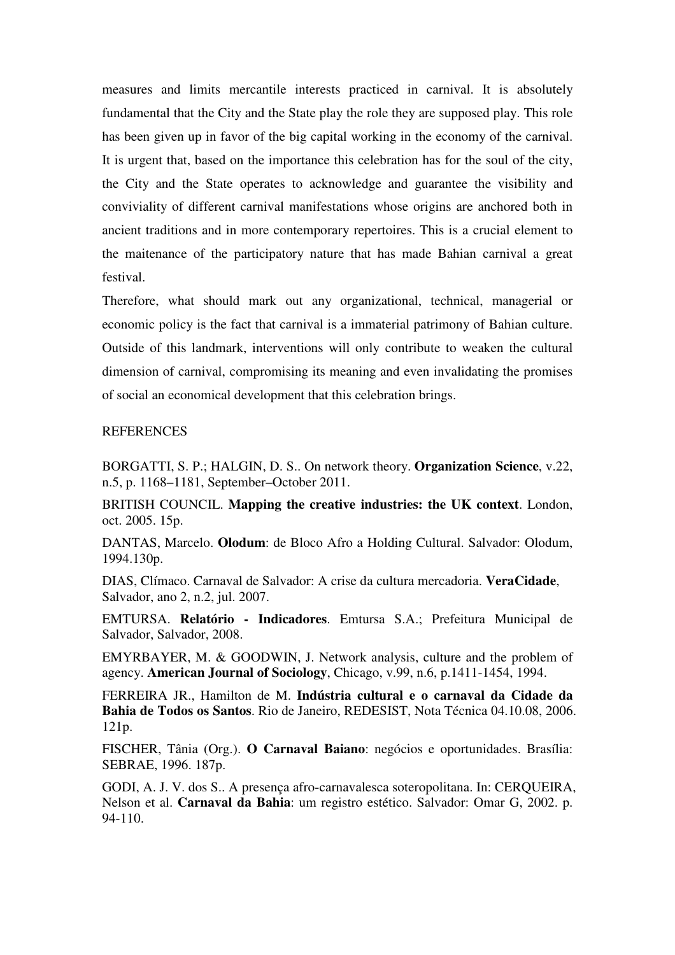measures and limits mercantile interests practiced in carnival. It is absolutely fundamental that the City and the State play the role they are supposed play. This role has been given up in favor of the big capital working in the economy of the carnival. It is urgent that, based on the importance this celebration has for the soul of the city, the City and the State operates to acknowledge and guarantee the visibility and conviviality of different carnival manifestations whose origins are anchored both in ancient traditions and in more contemporary repertoires. This is a crucial element to the maitenance of the participatory nature that has made Bahian carnival a great festival.

Therefore, what should mark out any organizational, technical, managerial or economic policy is the fact that carnival is a immaterial patrimony of Bahian culture. Outside of this landmark, interventions will only contribute to weaken the cultural dimension of carnival, compromising its meaning and even invalidating the promises of social an economical development that this celebration brings.

### REFERENCES

BORGATTI, S. P.; HALGIN, D. S.. On network theory. **Organization Science**, v.22, n.5, p. 1168–1181, September–October 2011.

BRITISH COUNCIL. **Mapping the creative industries: the UK context**. London, oct. 2005. 15p.

DANTAS, Marcelo. **Olodum**: de Bloco Afro a Holding Cultural. Salvador: Olodum, 1994.130p.

DIAS, Clímaco. Carnaval de Salvador: A crise da cultura mercadoria. **VeraCidade**, Salvador, ano 2, n.2, jul. 2007.

EMTURSA. **Relatório - Indicadores**. Emtursa S.A.; Prefeitura Municipal de Salvador, Salvador, 2008.

EMYRBAYER, M. & GOODWIN, J. Network analysis, culture and the problem of agency. **American Journal of Sociology**, Chicago, v.99, n.6, p.1411-1454, 1994.

FERREIRA JR., Hamilton de M. **Indústria cultural e o carnaval da Cidade da Bahia de Todos os Santos**. Rio de Janeiro, REDESIST, Nota Técnica 04.10.08, 2006. 121p.

FISCHER, Tânia (Org.). **O Carnaval Baiano**: negócios e oportunidades. Brasília: SEBRAE, 1996. 187p.

GODI, A. J. V. dos S.. A presença afro-carnavalesca soteropolitana. In: CERQUEIRA, Nelson et al. **Carnaval da Bahia**: um registro estético. Salvador: Omar G, 2002. p. 94-110.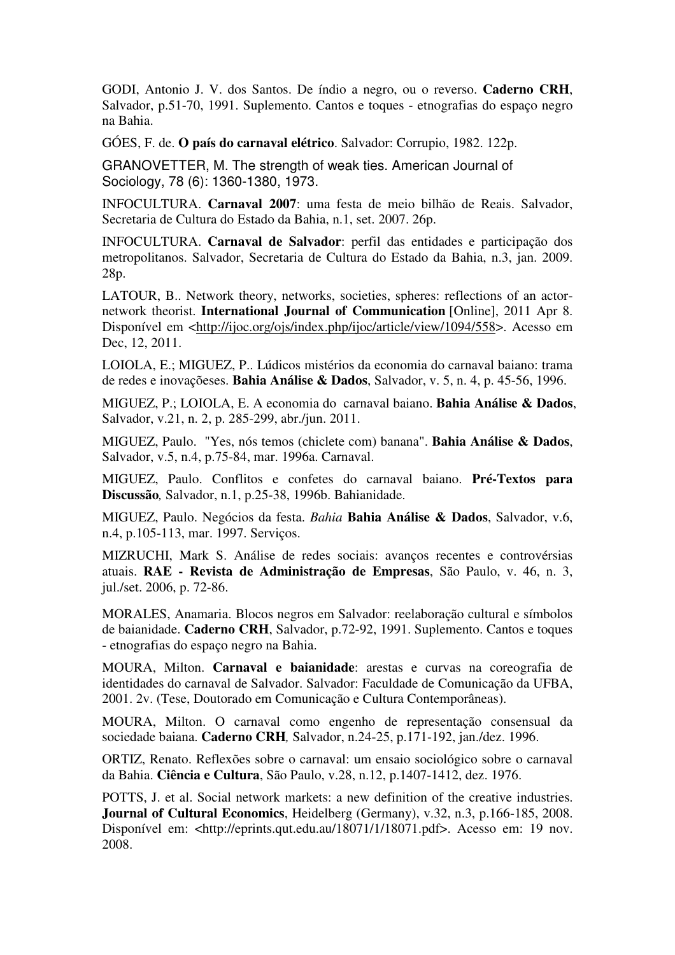GODI, Antonio J. V. dos Santos. De índio a negro, ou o reverso. **Caderno CRH**, Salvador, p.51-70, 1991. Suplemento. Cantos e toques - etnografias do espaço negro na Bahia.

GÓES, F. de. **O país do carnaval elétrico**. Salvador: Corrupio, 1982. 122p.

GRANOVETTER, M. The strength of weak ties. American Journal of Sociology, 78 (6): 1360-1380, 1973.

INFOCULTURA. **Carnaval 2007**: uma festa de meio bilhão de Reais. Salvador, Secretaria de Cultura do Estado da Bahia, n.1, set. 2007. 26p.

INFOCULTURA. **Carnaval de Salvador**: perfil das entidades e participação dos metropolitanos. Salvador, Secretaria de Cultura do Estado da Bahia, n.3, jan. 2009. 28p.

LATOUR, B.. Network theory, networks, societies, spheres: reflections of an actornetwork theorist. **International Journal of Communication** [Online], 2011 Apr 8. Disponível em <http://ijoc.org/ojs/index.php/ijoc/article/view/1094/558>. Acesso em Dec, 12, 2011.

LOIOLA, E.; MIGUEZ, P.. Lúdicos mistérios da economia do carnaval baiano: trama de redes e inovaçõeses. **Bahia Análise & Dados**, Salvador, v. 5, n. 4, p. 45-56, 1996.

MIGUEZ, P.; LOIOLA, E. A economia do carnaval baiano. **Bahia Análise & Dados**, Salvador, v.21, n. 2, p. 285-299, abr./jun. 2011.

MIGUEZ, Paulo. "Yes, nós temos (chiclete com) banana". **Bahia Análise & Dados**, Salvador, v.5, n.4, p.75-84, mar. 1996a. Carnaval.

MIGUEZ, Paulo. Conflitos e confetes do carnaval baiano. **Pré-Textos para Discussão***,* Salvador, n.1, p.25-38, 1996b. Bahianidade.

MIGUEZ, Paulo. Negócios da festa. *Bahia* **Bahia Análise & Dados**, Salvador, v.6, n.4, p.105-113, mar. 1997. Serviços.

MIZRUCHI, Mark S. Análise de redes sociais: avanços recentes e controvérsias atuais. **RAE - Revista de Administração de Empresas**, São Paulo, v. 46, n. 3, jul./set. 2006, p. 72-86.

MORALES, Anamaria. Blocos negros em Salvador: reelaboração cultural e símbolos de baianidade. **Caderno CRH**, Salvador, p.72-92, 1991. Suplemento. Cantos e toques - etnografias do espaço negro na Bahia.

MOURA, Milton. **Carnaval e baianidade**: arestas e curvas na coreografia de identidades do carnaval de Salvador. Salvador: Faculdade de Comunicação da UFBA, 2001. 2v. (Tese, Doutorado em Comunicação e Cultura Contemporâneas).

MOURA, Milton. O carnaval como engenho de representação consensual da sociedade baiana. **Caderno CRH***,* Salvador, n.24-25, p.171-192, jan./dez. 1996.

ORTIZ, Renato. Reflexões sobre o carnaval: um ensaio sociológico sobre o carnaval da Bahia. **Ciência e Cultura**, São Paulo, v.28, n.12, p.1407-1412, dez. 1976.

POTTS, J. et al. Social network markets: a new definition of the creative industries. **Journal of Cultural Economics**, Heidelberg (Germany), v.32, n.3, p.166-185, 2008. Disponível em: <http://eprints.qut.edu.au/18071/1/18071.pdf>. Acesso em: 19 nov. 2008.